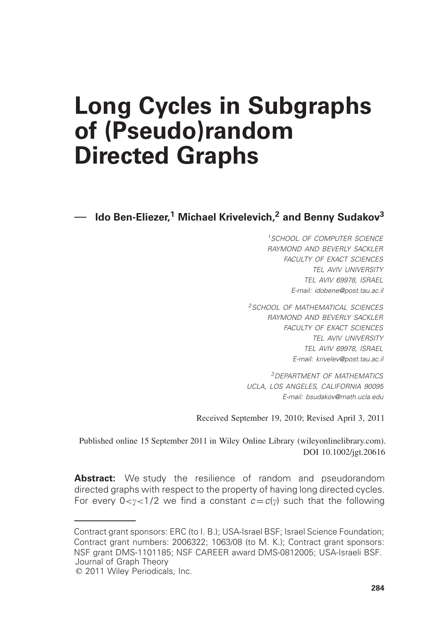# **Long Cycles in Subgraphs of (Pseudo)random Directed Graphs**

# **Ido Ben-Eliezer,<sup>1</sup> Michael Krivelevich,<sup>2</sup> and Benny Sudakov3**

<sup>1</sup> SCHOOL OF COMPUTER SCIENCE RAYMOND AND BEVERLY SACKLER FACULTY OF EXACT SCIENCES TEL AVIV UNIVERSITY TEL AVIV 69978, ISRAEL E-mail: idobene@post.tau.ac.il

2SCHOOL OF MATHEMATICAL SCIENCES RAYMOND AND BEVERLY SACKLER FACULTY OF EXACT SCIENCES TEL AVIV UNIVERSITY TEL AVIV 69978, ISRAEL E-mail: krivelev@post.tau.ac.il

3DEPARTMENT OF MATHEMATICS UCLA, LOS ANGELES, CALIFORNIA 90095 E-mail: bsudakov@math.ucla.edu

Received September 19, 2010; Revised April 3, 2011

DOI 10.1002/jgt.20616 Published online 15 September 2011 in Wiley Online Library (wileyonlinelibrary.com).

**Abstract:** We study the resilience of random and pseudorandom directed graphs with respect to the property of having long directed cycles. For every  $0 < \gamma < 1/2$  we find a constant  $c = c(\gamma)$  such that the following

Contract grant sponsors: ERC (to I. B.); USA-Israel BSF; Israel Science Foundation; Contract grant numbers: 2006322; 1063/08 (to M. K.); Contract grant sponsors: NSF grant DMS-1101185; NSF CAREER award DMS-0812005; USA-Israeli BSF. Journal of Graph Theory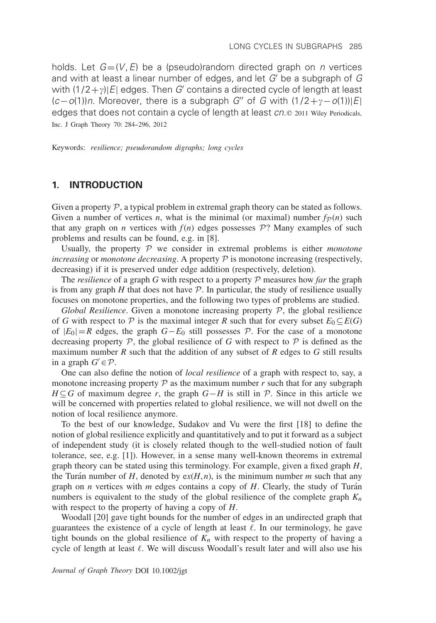holds. Let  $G=(V,E)$  be a (pseudo)random directed graph on *n* vertices and with at least a linear number of edges, and let  $G'$  be a subgraph of  $G$ with  $(1/2+\gamma)|E|$  edges. Then G' contains a directed cycle of length at least  $(c - o(1))n$ . Moreover, there is a subgraph G" of G with  $(1/2 + \gamma - o(1))|E|$ edges that does not contain a cycle of length at least cn.<sup>®</sup> 2011 Wiley Periodicals, Inc. J Graph Theory 70: 284-296, 2012

Keywords: *resilience; pseudorandom digraphs; long cycles*

#### **1. INTRODUCTION**

Given a property  $P$ , a typical problem in extremal graph theory can be stated as follows. Given a number of vertices *n*, what is the minimal (or maximal) number  $f<sub>P</sub>(n)$  such that any graph on *n* vertices with  $f(n)$  edges possesses  $P$ ? Many examples of such problems and results can be found, e.g. in [8].

Usually, the property P we consider in extremal problems is either *monotone increasing* or *monotone decreasing*. A property P is monotone increasing (respectively, decreasing) if it is preserved under edge addition (respectively, deletion).

The *resilience* of a graph *G* with respect to a property  $P$  measures how *far* the graph is from any graph  $H$  that does not have  $\mathcal P$ . In particular, the study of resilience usually focuses on monotone properties, and the following two types of problems are studied.

*Global Resilience*. Given a monotone increasing property P, the global resilience of *G* with respect to  $\mathcal P$  is the maximal integer *R* such that for every subset  $E_0 \subseteq E(G)$ of  $|E_0|=R$  edges, the graph  $G-E_0$  still possesses  $P$ . For the case of a monotone decreasing property  $P$ , the global resilience of G with respect to  $P$  is defined as the maximum number *R* such that the addition of any subset of *R* edges to *G* still results in a graph  $G' \in \mathcal{P}$ .

One can also define the notion of *local resilience* of a graph with respect to, say, a monotone increasing property  $P$  as the maximum number  $r$  such that for any subgraph *H*⊆*G* of maximum degree *r*, the graph  $G$ −*H* is still in  $P$ . Since in this article we will be concerned with properties related to global resilience, we will not dwell on the notion of local resilience anymore.

To the best of our knowledge, Sudakov and Vu were the first [18] to define the notion of global resilience explicitly and quantitatively and to put it forward as a subject of independent study (it is closely related though to the well-studied notion of fault tolerance, see, e.g. [1]). However, in a sense many well-known theorems in extremal graph theory can be stated using this terminology. For example, given a fixed graph *H*, the Turán number of  $H$ , denoted by  $ex(H, n)$ , is the minimum number  $m$  such that any graph on *n* vertices with *m* edges contains a copy of *H*. Clearly, the study of Turán numbers is equivalent to the study of the global resilience of the complete graph *Kn* with respect to the property of having a copy of *H*.

Woodall [20] gave tight bounds for the number of edges in an undirected graph that guarantees the existence of a cycle of length at least  $\ell$ . In our terminology, he gave tight bounds on the global resilience of  $K_n$  with respect to the property of having a cycle of length at least  $\ell$ . We will discuss Woodall's result later and will also use his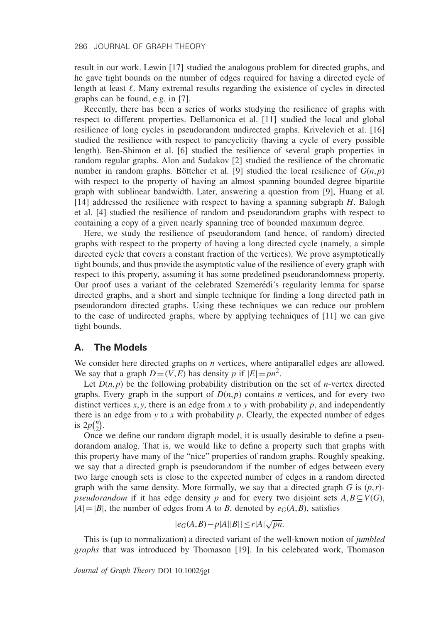result in our work. Lewin [17] studied the analogous problem for directed graphs, and he gave tight bounds on the number of edges required for having a directed cycle of length at least  $\ell$ . Many extremal results regarding the existence of cycles in directed graphs can be found, e.g. in [7].

Recently, there has been a series of works studying the resilience of graphs with respect to different properties. Dellamonica et al. [11] studied the local and global resilience of long cycles in pseudorandom undirected graphs. Krivelevich et al. [16] studied the resilience with respect to pancyclicity (having a cycle of every possible length). Ben-Shimon et al. [6] studied the resilience of several graph properties in random regular graphs. Alon and Sudakov [2] studied the resilience of the chromatic number in random graphs. Böttcher et al. [9] studied the local resilience of  $G(n, p)$ with respect to the property of having an almost spanning bounded degree bipartite graph with sublinear bandwidth. Later, answering a question from [9], Huang et al. [14] addressed the resilience with respect to having a spanning subgraph *H*. Balogh et al. [4] studied the resilience of random and pseudorandom graphs with respect to containing a copy of a given nearly spanning tree of bounded maximum degree.

Here, we study the resilience of pseudorandom (and hence, of random) directed graphs with respect to the property of having a long directed cycle (namely, a simple directed cycle that covers a constant fraction of the vertices). We prove asymptotically tight bounds, and thus provide the asymptotic value of the resilience of every graph with respect to this property, assuming it has some predefined pseudorandomness property. Our proof uses a variant of the celebrated Szemerédi's regularity lemma for sparse directed graphs, and a short and simple technique for finding a long directed path in pseudorandom directed graphs. Using these techniques we can reduce our problem to the case of undirected graphs, where by applying techniques of [11] we can give tight bounds.

#### **A. The Models**

We consider here directed graphs on *n* vertices, where antiparallel edges are allowed. We say that a graph  $D=(V,E)$  has density p if  $|E|=pn^2$ .

Let  $D(n, p)$  be the following probability distribution on the set of *n*-vertex directed graphs. Every graph in the support of  $D(n, p)$  contains *n* vertices, and for every two distinct vertices  $x, y$ , there is an edge from  $x$  to  $y$  with probability  $p$ , and independently there is an edge from  $y$  to  $x$  with probability  $p$ . Clearly, the expected number of edges is  $2p\binom{n}{2}$  $\binom{n}{2}$ .

Once we define our random digraph model, it is usually desirable to define a pseudorandom analog. That is, we would like to define a property such that graphs with this property have many of the "nice" properties of random graphs. Roughly speaking, we say that a directed graph is pseudorandom if the number of edges between every two large enough sets is close to the expected number of edges in a random directed graph with the same density. More formally, we say that a directed graph  $G$  is  $(p, r)$ *pseudorandom* if it has edge density *p* and for every two disjoint sets  $A, B \subseteq V(G)$ ,  $|A|=|B|$ , the number of edges from *A* to *B*, denoted by  $e_G(A, B)$ , satisfies

$$
|e_G(A,B)-p|A||B|| \le r|A|\sqrt{pn}.
$$

This is (up to normalization) a directed variant of the well-known notion of *jumbled graphs* that was introduced by Thomason [19]. In his celebrated work, Thomason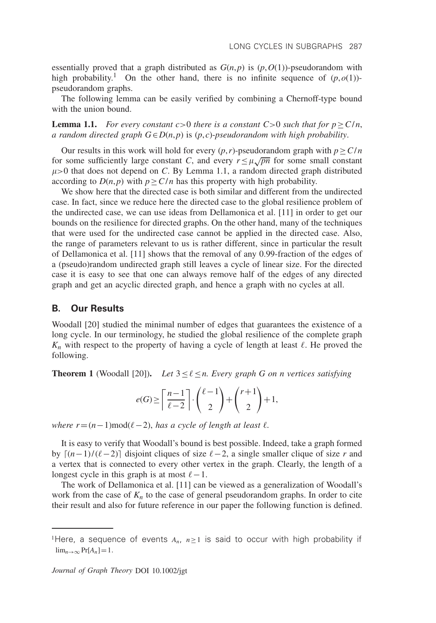essentially proved that a graph distributed as  $G(n,p)$  is  $(p, O(1))$ -pseudorandom with high probability.<sup>1</sup> On the other hand, there is no infinite sequence of  $(p, o(1))$ pseudorandom graphs.

The following lemma can be easily verified by combining a Chernoff-type bound with the union bound.

**Lemma 1.1.** For every constant  $c>0$  there is a constant  $C>0$  such that for  $p>C/n$ , *a random directed graph G*∈*D*(*n*,*p*) is (*p*, *c*)-*pseudorandom with high probability*.

Our results in this work will hold for every  $(p, r)$ -pseudorandom graph with  $p \geq C/n$ for some sufficiently large constant *C*, and every  $r \leq \mu \sqrt{pn}$  for some small constant  $\mu$  > 0 that does not depend on *C*. By Lemma 1.1, a random directed graph distributed according to  $D(n, p)$  with  $p > C/n$  has this property with high probability.

We show here that the directed case is both similar and different from the undirected case. In fact, since we reduce here the directed case to the global resilience problem of the undirected case, we can use ideas from Dellamonica et al. [11] in order to get our bounds on the resilience for directed graphs. On the other hand, many of the techniques that were used for the undirected case cannot be applied in the directed case. Also, the range of parameters relevant to us is rather different, since in particular the result of Dellamonica et al. [11] shows that the removal of any 0.99-fraction of the edges of a (pseudo)random undirected graph still leaves a cycle of linear size. For the directed case it is easy to see that one can always remove half of the edges of any directed graph and get an acyclic directed graph, and hence a graph with no cycles at all.

# **B. Our Results**

Woodall [20] studied the minimal number of edges that guarantees the existence of a long cycle. In our terminology, he studied the global resilience of the complete graph  $K_n$  with respect to the property of having a cycle of length at least  $\ell$ . He proved the following.

**Theorem 1** (Woodall [20]). Let  $3 \leq \ell \leq n$ . Every graph G on n vertices satisfying

$$
e(G) \ge \left\lceil \frac{n-1}{\ell-2} \right\rceil \cdot \binom{\ell-1}{2} + \binom{r+1}{2} + 1,
$$

*where*  $r = (n-1) \text{mod}(\ell-2)$ , *has a cycle of length at least*  $\ell$ .

It is easy to verify that Woodall's bound is best possible. Indeed, take a graph formed by  $\lceil (n-1)/(\ell-2) \rceil$  disjoint cliques of size  $\ell-2$ , a single smaller clique of size *r* and a vertex that is connected to every other vertex in the graph. Clearly, the length of a longest cycle in this graph is at most  $\ell - 1$ .

The work of Dellamonica et al. [11] can be viewed as a generalization of Woodall's work from the case of  $K_n$  to the case of general pseudorandom graphs. In order to cite their result and also for future reference in our paper the following function is defined.

<sup>&</sup>lt;sup>1</sup>Here, a sequence of events  $A_n$ ,  $n \geq 1$  is said to occur with high probability if  $\lim_{n\to\infty}$  Pr[ $A_n$ ] = 1.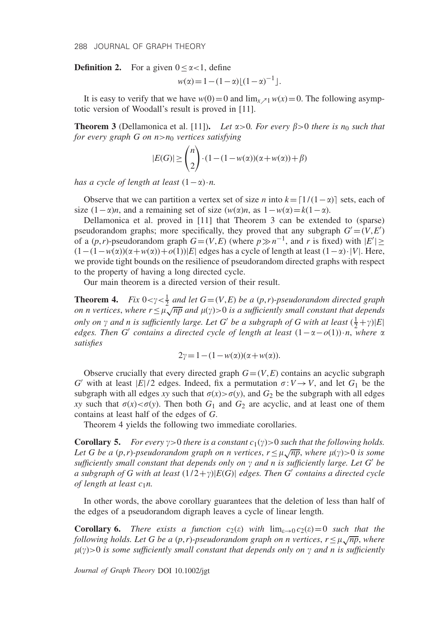288 JOURNAL OF GRAPH THEORY

**Definition 2.** For a given  $0 < \alpha < 1$ , define

$$
w(\alpha) = 1 - (1 - \alpha) \lfloor (1 - \alpha)^{-1} \rfloor.
$$

It is easy to verify that we have  $w(0)=0$  and  $\lim_{x \nearrow 1} w(x)=0$ . The following asymptotic version of Woodall's result is proved in [11].

**Theorem 3** (Dellamonica et al. [11]). *Let*  $\alpha > 0$ *. For every*  $\beta > 0$  *there is n<sub>0</sub> such that for every graph G on n*>*n*<sup>0</sup> *vertices satisfying*

$$
|E(G)| \geq {n \choose 2} \cdot (1 - (1 - w(\alpha))(\alpha + w(\alpha)) + \beta)
$$

*has a cycle of length at least*  $(1 - \alpha) \cdot n$ .

Observe that we can partition a vertex set of size *n* into  $k = [1/(1-\alpha)]$  sets, each of size  $(1-\alpha)n$ , and a remaining set of size  $(w(\alpha)n)$ , as  $1-w(\alpha)=k(1-\alpha)$ .

Dellamonica et al. proved in [11] that Theorem 3 can be extended to (sparse) pseudorandom graphs; more specifically, they proved that any subgraph  $G' = (V, E')$ of a  $(p, r)$ -pseudorandom graph  $G = (V, E)$  (where  $p \gg n^{-1}$ , and *r* is fixed) with  $|E'| \ge$  $(1-(1-w(\alpha))(\alpha+w(\alpha))+o(1))|E|$  edges has a cycle of length at least  $(1-\alpha)\cdot|V|$ . Here, we provide tight bounds on the resilience of pseudorandom directed graphs with respect to the property of having a long directed cycle.

Our main theorem is a directed version of their result.

**Theorem 4.**  $\langle \frac{1}{2}$  *and let*  $G = (V, E)$  *be a*  $(p, r)$ *-pseudorandom directed graph on n vertices, where*  $r \leq \mu \sqrt{np}$  and  $\mu(\gamma) > 0$  *is a sufficiently small constant that depends only on*  $\gamma$  and *n* is sufficiently large. Let G' be a subgraph of G with at least  $(\frac{1}{2} + \gamma)|E|$ *edges. Then G' contains a directed cycle of length at least*  $(1 - \alpha - o(1)) \cdot n$ , *where*  $\alpha$ *satisfies*

$$
2\gamma = 1 - (1 - w(\alpha))(\alpha + w(\alpha)).
$$

Observe crucially that every directed graph  $G=(V,E)$  contains an acyclic subgraph *G*<sup> $\prime$ </sup> with at least  $|E|/2$  edges. Indeed, fix a permutation  $\sigma: V \rightarrow V$ , and let  $G_1$  be the subgraph with all edges *xy* such that  $\sigma(x) > \sigma(y)$ , and  $G_2$  be the subgraph with all edges *xy* such that  $\sigma(x) < \sigma(y)$ . Then both  $G_1$  and  $G_2$  are acyclic, and at least one of them contains at least half of the edges of *G*.

Theorem 4 yields the following two immediate corollaries.

**Corollary 5.** For every  $\gamma > 0$  there is a constant  $c_1(\gamma) > 0$  such that the following holds. *Let G be a (p,r)-pseudorandom graph on n vertices,*  $r \leq \mu \sqrt{np}$ *, where*  $\mu(\gamma) > 0$  *is some* sufficiently small constant that depends only on  $\gamma$  and n is sufficiently large. Let  $G'$  be *a subgraph of G with at least*  $(1/2+\gamma) |E(G)|$  *edges. Then G' contains a directed cycle of length at least c*1*n.*

In other words, the above corollary guarantees that the deletion of less than half of the edges of a pseudorandom digraph leaves a cycle of linear length.

**Corollary 6.** *There exists a function*  $c_2(\varepsilon)$  *with*  $\lim_{\varepsilon \to 0} c_2(\varepsilon) = 0$  *such that the following holds. Let G be a* (*p*,*r*)*-pseudorandom graph on n vertices*, *r*≤ √*np*, *where*  $\mu(\gamma)$ >0 is some sufficiently small constant that depends only on  $\gamma$  and n is sufficiently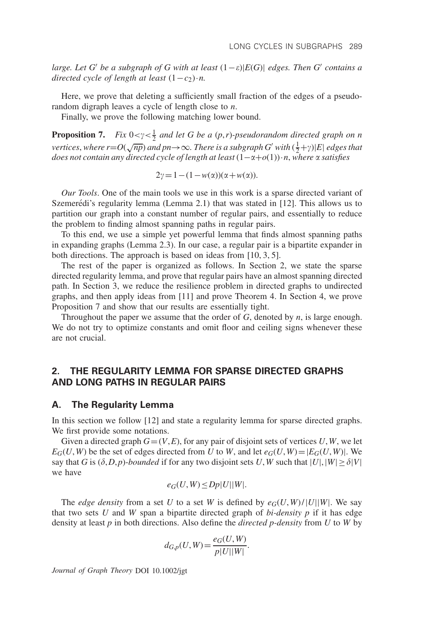*large. Let G' be a subgraph of G with at least*  $(1 - \varepsilon) |E(G)|$  *edges. Then G' contains a directed cycle of length at least*  $(1-c_2)$ ·*n.* 

Here, we prove that deleting a sufficiently small fraction of the edges of a pseudorandom digraph leaves a cycle of length close to *n*.

Finally, we prove the following matching lower bound.

**Proposition 7.** *Fix*  $0 < \gamma < \frac{1}{2}$  *and let G be a (p,r)*-pseudorandom directed graph on n *vertices, where r*= $O(\sqrt{np})$  *and pn* $\rightarrow \infty$ *. There is a subgraph G' with* ( $\frac{1}{2} + \gamma$ )|*E*| *edges that does not contain any directed cycle of length at least*  $(1−\alpha+o(1))\cdot n$ , *where*  $\alpha$  *satisfies* 

$$
2\gamma = 1 - (1 - w(\alpha))(\alpha + w(\alpha)).
$$

*Our Tools*. One of the main tools we use in this work is a sparse directed variant of Szemerédi's regularity lemma (Lemma 2.1) that was stated in  $[12]$ . This allows us to partition our graph into a constant number of regular pairs, and essentially to reduce the problem to finding almost spanning paths in regular pairs.

To this end, we use a simple yet powerful lemma that finds almost spanning paths in expanding graphs (Lemma 2.3). In our case, a regular pair is a bipartite expander in both directions. The approach is based on ideas from [10, 3, 5].

The rest of the paper is organized as follows. In Section 2, we state the sparse directed regularity lemma, and prove that regular pairs have an almost spanning directed path. In Section 3, we reduce the resilience problem in directed graphs to undirected graphs, and then apply ideas from [11] and prove Theorem 4. In Section 4, we prove Proposition 7 and show that our results are essentially tight.

Throughout the paper we assume that the order of *G*, denoted by *n*, is large enough. We do not try to optimize constants and omit floor and ceiling signs whenever these are not crucial.

# **2. THE REGULARITY LEMMA FOR SPARSE DIRECTED GRAPHS AND LONG PATHS IN REGULAR PAIRS**

#### **A. The Regularity Lemma**

In this section we follow [12] and state a regularity lemma for sparse directed graphs. We first provide some notations.

Given a directed graph  $G=(V,E)$ , for any pair of disjoint sets of vertices U, W, we let  $E_G(U, W)$  be the set of edges directed from *U* to *W*, and let  $e_G(U, W) = |E_G(U, W)|$ . We say that *G* is  $(\delta, D, p)$ -*bounded* if for any two disjoint sets *U*, *W* such that  $|U|, |W| \ge \delta |V|$ we have

$$
e_G(U, W) \le Dp|U||W|.
$$

The *edge density* from a set *U* to a set *W* is defined by  $e_G(U, W)/|U||W|$ . We say that two sets  $U$  and  $W$  span a bipartite directed graph of  $bi$ -density  $p$  if it has edge density at least *p* in both directions. Also define the *directed p-density* from *U* to *W* by

$$
d_{G,p}(U,W) = \frac{e_G(U,W)}{p|U||W|}.
$$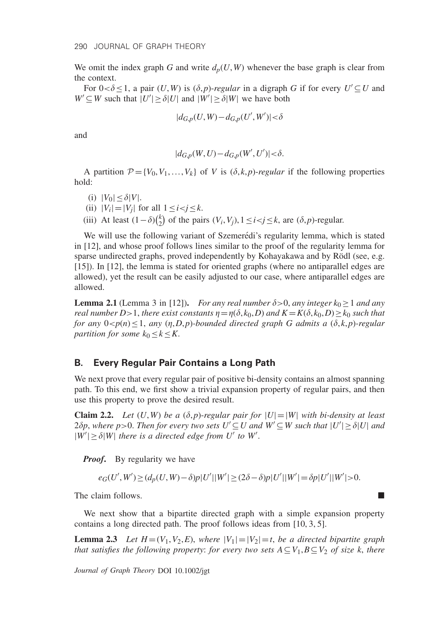We omit the index graph *G* and write  $d_p(U, W)$  whenever the base graph is clear from the context.

For  $0 < \delta \le 1$ , a pair  $(U, W)$  is  $(\delta, p)$ -*regular* in a digraph *G* if for every  $U' \subseteq U$  and  $W' \subseteq W$  such that  $|U'| \ge \delta |U|$  and  $|W'| \ge \delta |W|$  we have both

$$
|d_{G,p}(U,W) - d_{G,p}(U',W')| < \delta
$$

and

$$
|d_{G,p}(W,U)-d_{G,p}(W',U')|<\delta.
$$

A partition  $\mathcal{P} = \{V_0, V_1, \ldots, V_k\}$  of *V* is  $(\delta, k, p)$ -regular if the following properties hold:

- (i)  $|V_0| \le \delta |V|$ .
- (ii)  $|V_i|=|V_j|$  for all  $1 \leq i < j \leq k$ .
- (iii) At least  $(1 \delta)$  $\binom{k}{2}$  $\binom{k}{2}$  of the pairs  $(V_i, V_j)$ ,  $1 \le i < j \le k$ , are  $(\delta, p)$ -regular.

We will use the following variant of Szemerédi's regularity lemma, which is stated in [12], and whose proof follows lines similar to the proof of the regularity lemma for sparse undirected graphs, proved independently by Kohayakawa and by Rödl (see, e.g. [15]). In [12], the lemma is stated for oriented graphs (where no antiparallel edges are allowed), yet the result can be easily adjusted to our case, where antiparallel edges are allowed.

**Lemma 2.1** (Lemma 3 in [12]). *For any real number*  $\delta > 0$ , *any integer*  $k_0 \ge 1$  *and any real number D*>1, *there exist constants*  $\eta = \eta(\delta, k_0, D)$  *and*  $K = K(\delta, k_0, D) > k_0$  *such that for any*  $0 \lt p(n) \lt 1$ , *any*  $(n, D, p)$ *-bounded directed graph G admits a*  $(\delta, k, p)$ *-regular partition for some*  $k_0 < k < K$ .

#### **B. Every Regular Pair Contains a Long Path**

We next prove that every regular pair of positive bi-density contains an almost spanning path. To this end, we first show a trivial expansion property of regular pairs, and then use this property to prove the desired result.

**Claim 2.2.** Let  $(U, W)$  be a  $(\delta, p)$ -regular pair for  $|U| = |W|$  with bi-density at least  $2\delta p$ , where p>0. Then for every two sets  $U' \subseteq U$  and  $W' \subseteq W$  such that  $|U'| \ge \delta |U|$  and  $|W'| \ge \delta |W|$  there is a directed edge from U' to W'.

*Proof***.** By regularity we have

 $e_G(U', W') \ge (d_p(U, W) - \delta)p|U'| |W'|$ ≥(2 $\delta - \delta)p|U'| |W'| = \delta p|U'| |W'| > 0.$ 

The claim follows.

We next show that a bipartite directed graph with a simple expansion property contains a long directed path. The proof follows ideas from [10, 3, 5].

**Lemma 2.3** Let  $H = (V_1, V_2, E)$ , where  $|V_1| = |V_2| = t$ , be a directed bipartite graph *that satisfies the following property: for every two sets*  $A \subseteq V_1, B \subseteq V_2$  *of size k, there*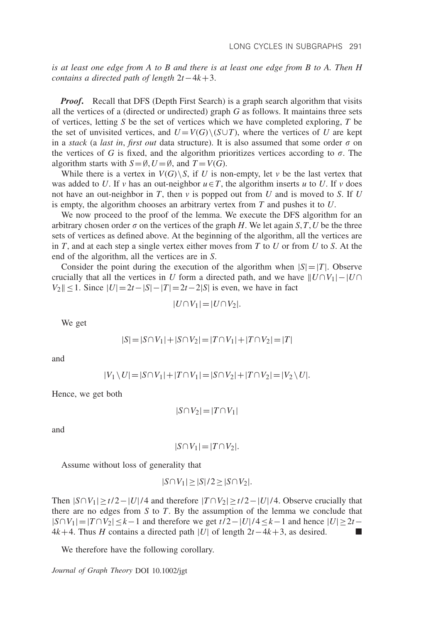*is at least one edge from A to B and there is at least one edge from B to A. Then H contains a directed path of length* 2*t*−4*k*+3.

*Proof.* Recall that DFS (Depth First Search) is a graph search algorithm that visits all the vertices of a (directed or undirected) graph *G* as follows. It maintains three sets of vertices, letting *S* be the set of vertices which we have completed exploring, *T* be the set of unvisited vertices, and  $U=V(G)\setminus (S\cup T)$ , where the vertices of *U* are kept in a *stack* (a *last in, first out* data structure). It is also assumed that some order  $\sigma$  on the vertices of *G* is fixed, and the algorithm prioritizes vertices according to  $\sigma$ . The algorithm starts with  $S = \emptyset, U = \emptyset$ , and  $T = V(G)$ .

While there is a vertex in  $V(G) \setminus S$ , if U is non-empty, let v be the last vertex that was added to *U*. If *v* has an out-neighbor  $u \in T$ , the algorithm inserts *u* to *U*. If *v* does not have an out-neighbor in *T*, then *v* is popped out from *U* and is moved to *S*. If *U* is empty, the algorithm chooses an arbitrary vertex from *T* and pushes it to *U*.

We now proceed to the proof of the lemma. We execute the DFS algorithm for an arbitrary chosen order  $\sigma$  on the vertices of the graph *H*. We let again *S*, *T*, *U* be the three sets of vertices as defined above. At the beginning of the algorithm, all the vertices are in *T*, and at each step a single vertex either moves from *T* to *U* or from *U* to *S*. At the end of the algorithm, all the vertices are in *S*.

Consider the point during the execution of the algorithm when  $|S|=|T|$ . Observe crucially that all the vertices in *U* form a directed path, and we have  $||U \cap V_1| - |U \cap V_1|$ *V*<sub>2</sub>∥ ≤ 1. Since  $|U| = 2t - |S| - |T| = 2t - 2|S|$  is even, we have in fact

$$
|U \cap V_1| = |U \cap V_2|.
$$

We get

$$
|S| = |S \cap V_1| + |S \cap V_2| = |T \cap V_1| + |T \cap V_2| = |T|
$$

and

$$
|V_1 \setminus U| = |S \cap V_1| + |T \cap V_1| = |S \cap V_2| + |T \cap V_2| = |V_2 \setminus U|.
$$

Hence, we get both

$$
|S \cap V_2| = |T \cap V_1|
$$

and

$$
|S \cap V_1| = |T \cap V_2|.
$$

Assume without loss of generality that

$$
|S \cap V_1| \ge |S|/2 \ge |S \cap V_2|.
$$

Then  $|S \cap V_1| \ge t/2 - |U|/4$  and therefore  $|T \cap V_2| \ge t/2 - |U|/4$ . Observe crucially that there are no edges from *S* to *T*. By the assumption of the lemma we conclude that  $|S \cap V_1| = |T \cap V_2| \leq k - 1$  and therefore we get  $t/2 - |U|/4 \leq k - 1$  and hence  $|U| \geq 2t - 4k + 4$  Thus *H* contains a directed path  $|U|$  of length  $2t - 4k + 3$  as desired 4*k*+4. Thus *H* contains a directed path |*U*| of length 2*t*−4*k*+3, as desired. -

We therefore have the following corollary.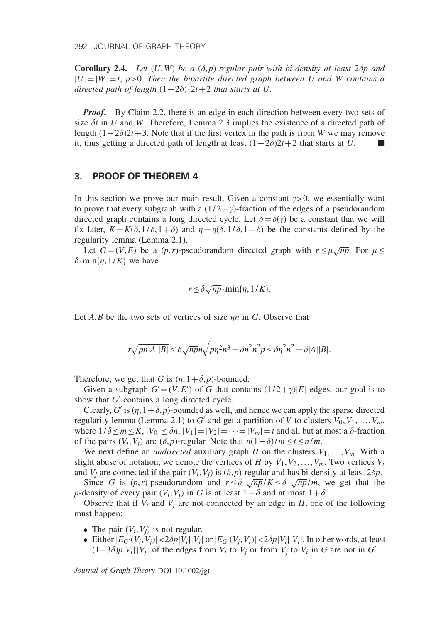**Corollary 2.4.** *Let*  $(U, W)$  *be a*  $(\delta, p)$ -regular pair with bi-density at least 2 $\delta p$  and  $|U|=|W|=t$ ,  $p>0$ . Then the bipartite directed graph between U and W contains a *directed path of length*  $(1-2\delta) \cdot 2t+2$  *that starts at U*.

*Proof***.** By Claim 2.2, there is an edge in each direction between every two sets of size  $\delta t$  in *U* and *W*. Therefore, Lemma 2.3 implies the existence of a directed path of length  $(1-2\delta)2t+3$ . Note that if the first vertex in the path is from *W* we may remove it, thus getting a directed path of length at least  $(1−2\delta)2t+2$  that starts at *U*.

#### **3. PROOF OF THEOREM 4**

In this section we prove our main result. Given a constant  $\gamma > 0$ , we essentially want to prove that every subgraph with a  $(1/2 + \gamma)$ -fraction of the edges of a pseudorandom directed graph contains a long directed cycle. Let  $\delta = \delta(\gamma)$  be a constant that we will fix later,  $K = K(\delta, 1/\delta, 1+\delta)$  and  $\eta = \eta(\delta, 1/\delta, 1+\delta)$  be the constants defined by the regularity lemma (Lemma 2.1).

Let  $G = (V, E)$  be a  $(p, r)$ -pseudorandom directed graph with  $r \le \mu \sqrt{np}$ . For  $\mu \le$  $\delta$ ·min{ $\eta$ , 1/*K*} we have

$$
r \le \delta \sqrt{np} \cdot \min\{\eta, 1/K\}.
$$

Let  $A, B$  be the two sets of vertices of size  $\eta n$  in *G*. Observe that

$$
r\sqrt{pn|A||B|} \le \delta \sqrt{np}\eta \sqrt{pn^2n^3} = \delta \eta^2 n^2 p \le \delta \eta^2 n^2 = \delta |A||B|.
$$

Therefore, we get that *G* is  $(n, 1+\delta, p)$ -bounded.

Given a subgraph  $G' = (V, E')$  of *G* that contains  $(1/2 + \gamma)|E|$  edges, our goal is to show that  $G'$  contains a long directed cycle.

Clearly, *G'* is  $(\eta, 1+\delta, p)$ -bounded as well, and hence we can apply the sparse directed regularity lemma (Lemma 2.1) to  $G'$  and get a partition of *V* to clusters  $V_0, V_1, \ldots, V_m$ , where  $1/\delta \le m \le K$ ,  $|V_0| \le \delta n$ ,  $|V_1| = |V_2| = \cdots = |V_m| = t$  and all but at most a  $\delta$ -fraction of the pairs  $(V_i, V_j)$  are  $(\delta, p)$ -regular. Note that  $n(1-\delta)/m \le t \le n/m$ .

We next define an *undirected* auxiliary graph *H* on the clusters  $V_1, \ldots, V_m$ . With a slight abuse of notation, we denote the vertices of *H* by  $V_1, V_2, \ldots, V_m$ . Two vertices  $V_i$ and  $V_i$  are connected if the pair  $(V_i, V_j)$  is  $(\delta, p)$ -regular and has bi-density at least  $2\delta p$ .

Since *G* is  $(p, r)$ -pseudorandom and  $r \leq \delta \cdot \sqrt{np}/K \leq \delta \cdot \sqrt{np}/m$ , we get that the *p*-density of every pair  $(V_i, V_j)$  in *G* is at least  $1 - \delta$  and at most  $1 + \delta$ .

Observe that if  $V_i$  and  $V_j$  are not connected by an edge in  $H$ , one of the following must happen:

- The pair  $(V_i, V_j)$  is not regular.
- Either  $|E_G(V_i, V_j)| < 2\delta p|V_i||V_j|$  or  $|E_G(V_j, V_i)| < 2\delta p|V_i||V_j|$ . In other words, at least  $(1-3\delta)p|V_i||V_j|$  of the edges from  $V_i$  to  $V_j$  or from  $V_j$  to  $V_i$  in  $G$  are not in  $G'$ .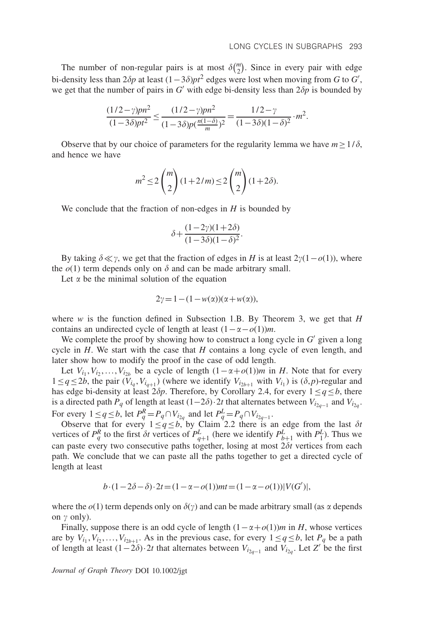The number of non-regular pairs is at most  $\delta\binom{m}{2}$  $2<sup>m</sup>$ ). Since in every pair with edge bi-density less than  $2\delta p$  at least  $(1-3\delta)pt^2$  edges were lost when moving from *G* to *G'*, we get that the number of pairs in  $G'$  with edge bi-density less than  $2\delta p$  is bounded by

$$
\frac{(1/2-\gamma)pn^2}{(1-3\delta)pt^2} \le \frac{(1/2-\gamma)pn^2}{(1-3\delta)p(\frac{n(1-\delta)}{m})^2} = \frac{1/2-\gamma}{(1-3\delta)(1-\delta)^2} \cdot m^2.
$$

Observe that by our choice of parameters for the regularity lemma we have  $m > 1/\delta$ , and hence we have

$$
m^{2} \le 2 {m \choose 2} (1+2/m) \le 2 {m \choose 2} (1+2\delta).
$$

We conclude that the fraction of non-edges in *H* is bounded by

$$
\delta + \frac{(1-2\gamma)(1+2\delta)}{(1-3\delta)(1-\delta)^2}.
$$

By taking  $\delta \ll \gamma$ , we get that the fraction of edges in *H* is at least  $2\gamma(1 - o(1))$ , where the  $o(1)$  term depends only on  $\delta$  and can be made arbitrary small.

Let  $\alpha$  be the minimal solution of the equation

$$
2\gamma = 1 - (1 - w(\alpha))(\alpha + w(\alpha)),
$$

where *w* is the function defined in Subsection 1.B. By Theorem 3, we get that *H* contains an undirected cycle of length at least  $(1-\alpha-\sigma(1))m$ .

We complete the proof by showing how to construct a long cycle in  $G'$  given a long cycle in *H*. We start with the case that *H* contains a long cycle of even length, and later show how to modify the proof in the case of odd length.

Let  $V_{i_1}, V_{i_2}, \ldots, V_{i_{2b}}$  be a cycle of length  $(1-\alpha+o(1))m$  in *H*. Note that for every 1≤*q*≤2*b*, the pair ( $\bar{V}_{i_q}, V_{i_{q+1}}$ ) (where we identify  $V_{i_{2b+1}}$  with  $V_{i_1}$ ) is ( $\delta, p$ )-regular and has edge bi-density at least  $2\delta p$ . Therefore, by Corollary 2.4, for every  $1 \leq q \leq b$ , there is a directed path *P<sub>q</sub>* of length at least  $(1−2\delta) \cdot 2t$  that alternates between  $V_{i_{2a-1}}$  and  $V_{i_{2a}}$ . For every  $1 \le q \le b$ , let  $P_q^R = P_q \cap V_{i_{2q}}$  and let  $P_q^L = P_q \cap V_{i_{2q-1}}$ .

Observe that for every  $1 \le q \le b$ , by Claim 2.2 there is an edge from the last  $\delta t$ vertices of  $P_q^R$  to the first  $\delta t$  vertices of  $P_{q+1}^L$  (here we identify  $P_{b+1}^L$  with  $P_1^L$ ). Thus we can paste every two consecutive paths together, losing at most  $2\delta t$  vertices from each path. We conclude that we can paste all the paths together to get a directed cycle of length at least

$$
b \cdot (1 - 2\delta - \delta) \cdot 2t = (1 - \alpha - o(1))mt = (1 - \alpha - o(1))|V(G')|,
$$

where the  $o(1)$  term depends only on  $\delta(y)$  and can be made arbitrary small (as  $\alpha$  depends on  $\gamma$  only).

Finally, suppose there is an odd cycle of length  $(1-\alpha+o(1))m$  in *H*, whose vertices are by  $V_{i_1}, V_{i_2}, \ldots, V_{i_{2b+1}}$ . As in the previous case, for every  $1 \leq q \leq b$ , let  $P_q$  be a path of length at least  $(1-2\delta) \cdot 2t$  that alternates between  $V_{i_{2q-1}}$  and  $V_{i_{2q}}$ . Let *Z'* be the first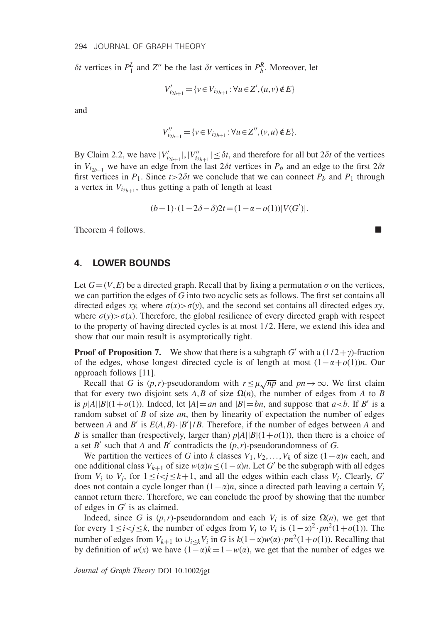$\delta t$  vertices in  $P_1^L$  and  $Z''$  be the last  $\delta t$  vertices in  $P_b^R$ . Moreover, let

$$
V'_{i_{2b+1}} = \{v \in V_{i_{2b+1}} : \forall u \in Z', (u, v) \notin E\}
$$

and

$$
V''_{i_{2b+1}} = \{v \in V_{i_{2b+1}} : \forall u \in Z'', (v, u) \notin E\}.
$$

By Claim 2.2, we have  $|V'_{i_{2b+1}}|, |V''_{i_{2b+1}}| \leq \delta t$ , and therefore for all but  $2\delta t$  of the vertices in  $V_{i_{2b+1}}$  we have an edge from the last  $2\delta t$  vertices in  $P_b$  and an edge to the first  $2\delta t$ first vertices in  $P_1$ . Since  $t > 2\delta t$  we conclude that we can connect  $P_b$  and  $P_1$  through a vertex in  $V_{i_{2b+1}}$ , thus getting a path of length at least

$$
(b-1)\cdot (1-2\delta-\delta)2t = (1-\alpha-o(1))|V(G')|.
$$

Theorem 4 follows.

#### **4. LOWER BOUNDS**

Let  $G=(V,E)$  be a directed graph. Recall that by fixing a permutation  $\sigma$  on the vertices, we can partition the edges of *G* into two acyclic sets as follows. The first set contains all directed edges *xy*, where  $\sigma(x) > \sigma(y)$ , and the second set contains all directed edges *xy*, where  $\sigma(y) > \sigma(x)$ . Therefore, the global resilience of every directed graph with respect to the property of having directed cycles is at most  $1/2$ . Here, we extend this idea and show that our main result is asymptotically tight.

**Proof of Proposition 7.** We show that there is a subgraph *G*<sup> $\prime$ </sup> with a (1/2+ $\gamma$ )-fraction of the edges, whose longest directed cycle is of length at most  $(1-\alpha+o(1))n$ . Our approach follows [11].

Recall that *G* is  $(p, r)$ -pseudorandom with  $r \leq \mu \sqrt{np}$  and  $pn \to \infty$ . We first claim that for every two disjoint sets A,B of size  $\Omega(n)$ , the number of edges from A to B is  $p|A||B|(1+o(1))$ . Indeed, let  $|A|=an$  and  $|B|=bn$ , and suppose that  $a < b$ . If  $B'$  is a random subset of *B* of size *an*, then by linearity of expectation the number of edges between *A* and *B*<sup> $\prime$ </sup> is  $E(A, B) \cdot |B'|/B$ . Therefore, if the number of edges between *A* and *B* is smaller than (respectively, larger than)  $p|A||B|(1+o(1))$ , then there is a choice of a set *B*<sup> $\prime$ </sup> such that *A* and *B*<sup> $\prime$ </sup> contradicts the  $(p, r)$ -pseudorandomness of *G*.

We partition the vertices of *G* into *k* classes  $V_1, V_2, \ldots, V_k$  of size  $(1 - \alpha)n$  each, and one additional class  $V_{k+1}$  of size  $w(\alpha)n \leq (1-\alpha)n$ . Let *G*<sup>'</sup> be the subgraph with all edges from  $V_i$  to  $V_j$ , for  $1 \le i < j \le k+1$ , and all the edges within each class  $V_i$ . Clearly,  $G'$ does not contain a cycle longer than  $(1-\alpha)n$ , since a directed path leaving a certain  $V_i$ cannot return there. Therefore, we can conclude the proof by showing that the number of edges in  $G'$  is as claimed.

Indeed, since *G* is  $(p, r)$ -pseudorandom and each  $V_i$  is of size  $\Omega(n)$ , we get that for every  $1 \le i < j \le k$ , the number of edges from  $V_j$  to  $V_i$  is  $(1 - \alpha)^2 \cdot pn^2(1 + o(1))$ . The number of edges from  $V_{k+1}$  to  $\bigcup_{i\leq k}V_i$  in *G* is  $k(1-\alpha)w(\alpha)\cdot pn^2(1+o(1))$ . Recalling that by definition of  $w(x)$  we have  $(1-\alpha)k=1-w(\alpha)$ , we get that the number of edges we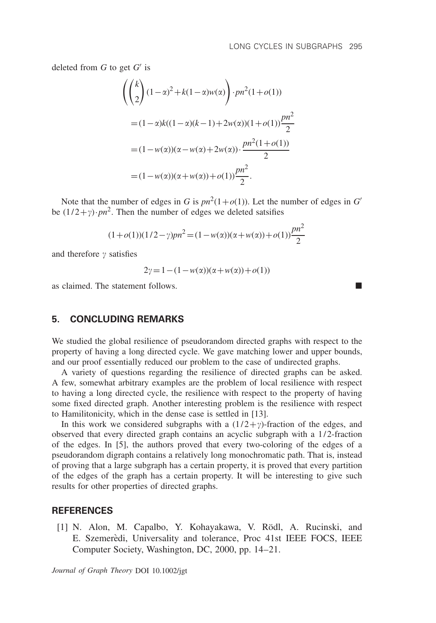deleted from *G* to get *G*- is

$$
\left( \binom{k}{2} (1 - \alpha)^2 + k(1 - \alpha) w(\alpha) \right) \cdot p n^2 (1 + o(1))
$$
  
=  $(1 - \alpha) k ((1 - \alpha)(k - 1) + 2w(\alpha))(1 + o(1)) \frac{p n^2}{2}$   
=  $(1 - w(\alpha))(\alpha - w(\alpha) + 2w(\alpha)) \cdot \frac{p n^2 (1 + o(1))}{2}$   
=  $(1 - w(\alpha))(\alpha + w(\alpha)) + o(1)) \frac{p n^2}{2}$ .

Note that the number of edges in *G* is  $pn^2(1+o(1))$ . Let the number of edges in *G*<sup>-</sup> be  $(1/2+\gamma) \cdot pn^2$ . Then the number of edges we deleted satsifies

$$
(1+o(1))(1/2-\gamma)pn^2 = (1-w(\alpha))(\alpha+w(\alpha)) + o(1))\frac{pn^2}{2}
$$

and therefore  $\gamma$  satisfies

$$
2\gamma = 1 - (1 - w(\alpha))(\alpha + w(\alpha)) + o(1))
$$

as claimed. The statement follows.

# **5. CONCLUDING REMARKS**

We studied the global resilience of pseudorandom directed graphs with respect to the property of having a long directed cycle. We gave matching lower and upper bounds, and our proof essentially reduced our problem to the case of undirected graphs.

A variety of questions regarding the resilience of directed graphs can be asked. A few, somewhat arbitrary examples are the problem of local resilience with respect to having a long directed cycle, the resilience with respect to the property of having some fixed directed graph. Another interesting problem is the resilience with respect to Hamilitonicity, which in the dense case is settled in [13].

In this work we considered subgraphs with a  $(1/2 + \gamma)$ -fraction of the edges, and observed that every directed graph contains an acyclic subgraph with a 1/ 2-fraction of the edges. In [5], the authors proved that every two-coloring of the edges of a pseudorandom digraph contains a relatively long monochromatic path. That is, instead of proving that a large subgraph has a certain property, it is proved that every partition of the edges of the graph has a certain property. It will be interesting to give such results for other properties of directed graphs.

## **REFERENCES**

[1] N. Alon, M. Capalbo, Y. Kohayakawa, V. Rödl, A. Rucinski, and E. Szemerèdi, Universality and tolerance, Proc 41st IEEE FOCS, IEEE Computer Society, Washington, DC, 2000, pp. 14–21.